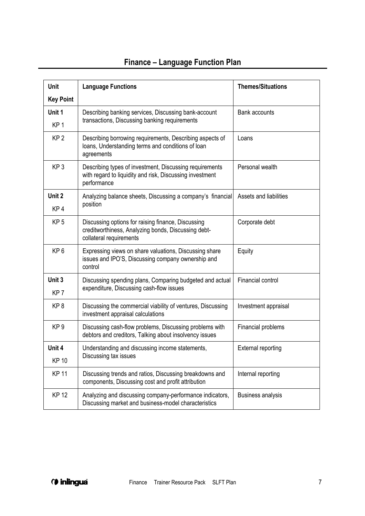| Unit             | <b>Language Functions</b>                                                                                                            | <b>Themes/Situations</b>  |
|------------------|--------------------------------------------------------------------------------------------------------------------------------------|---------------------------|
| <b>Key Point</b> |                                                                                                                                      |                           |
| Unit 1           | Describing banking services, Discussing bank-account<br>transactions, Discussing banking requirements                                | <b>Bank accounts</b>      |
| KP <sub>1</sub>  |                                                                                                                                      |                           |
| KP <sub>2</sub>  | Describing borrowing requirements, Describing aspects of<br>loans, Understanding terms and conditions of loan<br>agreements          | Loans                     |
| KP <sub>3</sub>  | Describing types of investment, Discussing requirements<br>with regard to liquidity and risk, Discussing investment<br>performance   | Personal wealth           |
| Unit 2           | Analyzing balance sheets, Discussing a company's financial<br>position                                                               | Assets and liabilities    |
| KP <sub>4</sub>  |                                                                                                                                      |                           |
| KP <sub>5</sub>  | Discussing options for raising finance, Discussing<br>creditworthiness, Analyzing bonds, Discussing debt-<br>collateral requirements | Corporate debt            |
| KP <sub>6</sub>  | Expressing views on share valuations, Discussing share<br>issues and IPO'S, Discussing company ownership and<br>control              | Equity                    |
| Unit 3           | Discussing spending plans, Comparing budgeted and actual<br>expenditure, Discussing cash-flow issues                                 | Financial control         |
| KP <sub>7</sub>  |                                                                                                                                      |                           |
| KP <sub>8</sub>  | Discussing the commercial viability of ventures, Discussing<br>investment appraisal calculations                                     | Investment appraisal      |
| KP <sub>9</sub>  | Discussing cash-flow problems, Discussing problems with<br>debtors and creditors, Talking about insolvency issues                    | Financial problems        |
| Unit 4           | Understanding and discussing income statements,<br>Discussing tax issues                                                             | <b>External reporting</b> |
| <b>KP 10</b>     |                                                                                                                                      |                           |
| <b>KP 11</b>     | Discussing trends and ratios, Discussing breakdowns and<br>components, Discussing cost and profit attribution                        | Internal reporting        |
| <b>KP12</b>      | Analyzing and discussing company-performance indicators,<br>Discussing market and business-model characteristics                     | <b>Business analysis</b>  |

## **Finance – Language Function Plan**